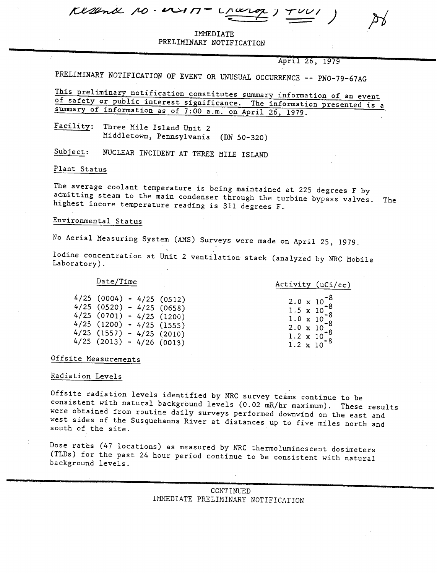| $Kl2lndl$ 10. $11 - l1l2l$ |  |  | $\overline{\phantom{a}}$ , and the contract of $\overline{\phantom{a}}$ |  |  |  |  |
|----------------------------|--|--|-------------------------------------------------------------------------|--|--|--|--|
|----------------------------|--|--|-------------------------------------------------------------------------|--|--|--|--|

INDULAI<br>IADV VORT PRELIMINARY NOTIFICATION

April 26, 1979

PRELIMINARY NOTIFICATION OF EVENT OR UNUSUAL OCCURRENCE -- PNO-79-67AG

This preliminary notification constitutes summary information of an event of safety or public interest significance. The information presented is a summary of information as of 7:00 a.m. on April 26, 1979.

Facility: Three Mile Island Unit 2 Middletown, Pennsylvania (DN 50-320)

Subject: NUCLEAR INCIDENT AT THREE MILE ISLAND

Plant Status

The average coolant temperature is being maintained at 225 degrees F by admitting steam to the main condenser through the turbine bypass valves. The highest incore temperature reading is 311 degrees F.

## Environmental Status

No Aerial Measuring System (AMS) Surveys were made on April 25, 1979.

Iodine concentration at Unit 2 ventilation stack (analyzed by NRC Mobile Laboratory) .

## Date/Time

Activity (uCi/cc)  $2.0 \times 10^{-8}$ <br>1.5 x 10  $^{-8}$  $1.5 \times 10^{-8}$  $1.5 \times 10^{-8}$ <br>1.0 x 10-8  $2.0 \times 10^{-8}$ 2.0 x 10<br>1.2 x 10<br>1.2 x 10 8  $1.2 \times 10^{-7}$ 

| 4/25 (0004) - 4/25 (0512) |  |               |
|---------------------------|--|---------------|
| 4/25 (0520)               |  | $-4/25(0658)$ |
| 4/25 (0701)               |  | $-4/25(1200)$ |
| $4/25$ (1200)             |  | $-4/25(1555)$ |
| 4/25 (1557)               |  | $-4/25(2010)$ |
| $4/25$ (2013)             |  | $-4/26(0013)$ |

## Offsite Measurements

## Radiation Levels

Offsite radiation levels identified by NRC survey teams continue to be consistent with natural background levels (0.02 mR/hr maximum). These results were obtained from routine daily surveys performed downwind on the east and west sides of the Susquehanna River at distances up to five miles north and south of the site.

Dose rates (47 locations) as measured by NRC thermoluminescent dosimeters (TLDs) for the past 24 hour period continue to be consistent with natural background levels.

|                                    | ___________ |
|------------------------------------|-------------|
| CONTINUED                          |             |
| IMMEDIATE PRELIMINARY NOTIFICATION |             |